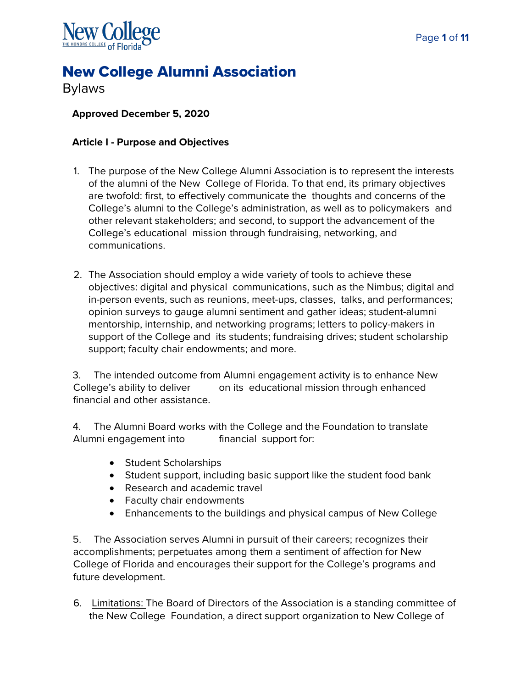

# New College Alumni Association

Bylaws

# **Approved December 5, 2020**

## **Article I - Purpose and Objectives**

- 1. The purpose of the New College Alumni Association is to represent the interests of the alumni of the New College of Florida. To that end, its primary objectives are twofold: first, to effectively communicate the thoughts and concerns of the College's alumni to the College's administration, as well as to policymakers and other relevant stakeholders; and second, to support the advancement of the College's educational mission through fundraising, networking, and communications.
- 2. The Association should employ a wide variety of tools to achieve these objectives: digital and physical communications, such as the Nimbus; digital and in-person events, such as reunions, meet-ups, classes, talks, and performances; opinion surveys to gauge alumni sentiment and gather ideas; student-alumni mentorship, internship, and networking programs; letters to policy-makers in support of the College and its students; fundraising drives; student scholarship support; faculty chair endowments; and more.

3. The intended outcome from Alumni engagement activity is to enhance New College's ability to deliver on its educational mission through enhanced financial and other assistance.

4. The Alumni Board works with the College and the Foundation to translate Alumni engagement into financial support for:

- Student Scholarships
- Student support, including basic support like the student food bank
- Research and academic travel
- Faculty chair endowments
- Enhancements to the buildings and physical campus of New College

5. The Association serves Alumni in pursuit of their careers; recognizes their accomplishments; perpetuates among them a sentiment of affection for New College of Florida and encourages their support for the College's programs and future development.

6. Limitations: The Board of Directors of the Association is a standing committee of the New College Foundation, a direct support organization to New College of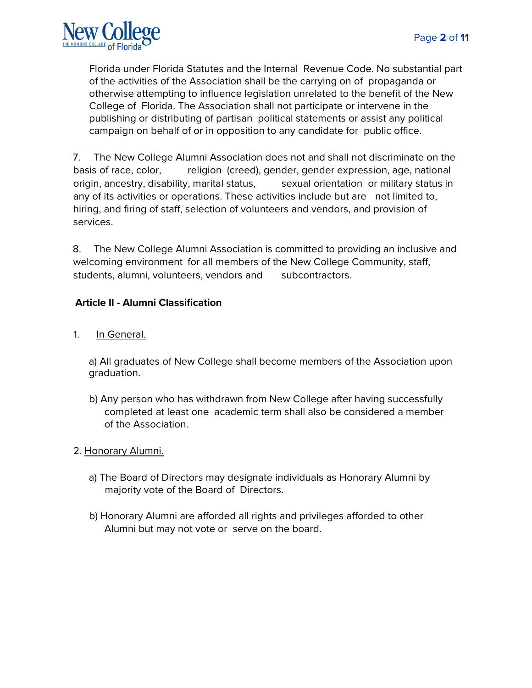Florida under Florida Statutes and the Internal Revenue Code. No substantial part of the activities of the Association shall be the carrying on of propaganda or otherwise attempting to influence legislation unrelated to the benefit of the New College of Florida. The Association shall not participate or intervene in the publishing or distributing of partisan political statements or assist any political campaign on behalf of or in opposition to any candidate for public office.

7. The New College Alumni Association does not and shall not discriminate on the basis of race, color, religion (creed), gender, gender expression, age, national origin, ancestry, disability, marital status, sexual orientation or military status in any of its activities or operations. These activities include but are not limited to, hiring, and firing of staff, selection of volunteers and vendors, and provision of services.

8. The New College Alumni Association is committed to providing an inclusive and welcoming environment for all members of the New College Community, staff, students, alumni, volunteers, vendors and subcontractors.

### **Article II - Alumni Classification**

1. In General.

a) All graduates of New College shall become members of the Association upon graduation.

- b) Any person who has withdrawn from New College after having successfully completed at least one academic term shall also be considered a member of the Association.
- 2. Honorary Alumni.
	- a) The Board of Directors may designate individuals as Honorary Alumni by majority vote of the Board of Directors.
	- b) Honorary Alumni are afforded all rights and privileges afforded to other Alumni but may not vote or serve on the board.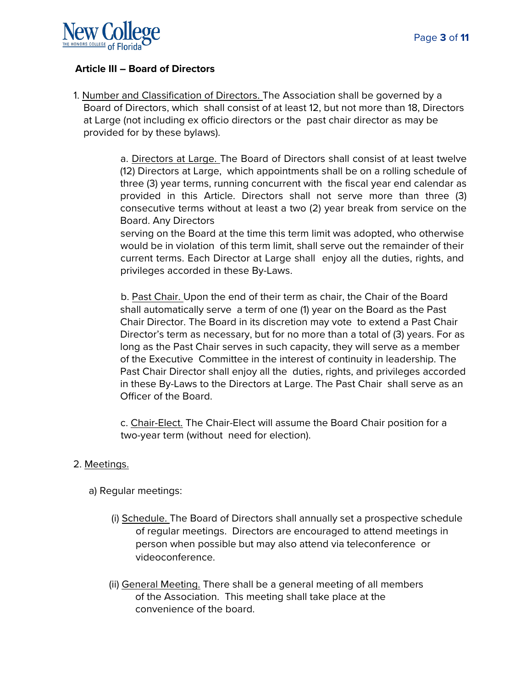

#### **Article III – Board of Directors**

1. Number and Classification of Directors. The Association shall be governed by a Board of Directors, which shall consist of at least 12, but not more than 18, Directors at Large (not including ex officio directors or the past chair director as may be provided for by these bylaws).

> a. Directors at Large. The Board of Directors shall consist of at least twelve (12) Directors at Large, which appointments shall be on a rolling schedule of three (3) year terms, running concurrent with the fiscal year end calendar as provided in this Article. Directors shall not serve more than three (3) consecutive terms without at least a two (2) year break from service on the Board. Any Directors

> serving on the Board at the time this term limit was adopted, who otherwise would be in violation of this term limit, shall serve out the remainder of their current terms. Each Director at Large shall enjoy all the duties, rights, and privileges accorded in these By-Laws.

> b. Past Chair. Upon the end of their term as chair, the Chair of the Board shall automatically serve a term of one (1) year on the Board as the Past Chair Director. The Board in its discretion may vote to extend a Past Chair Director's term as necessary, but for no more than a total of (3) years. For as long as the Past Chair serves in such capacity, they will serve as a member of the Executive Committee in the interest of continuity in leadership. The Past Chair Director shall enjoy all the duties, rights, and privileges accorded in these By-Laws to the Directors at Large. The Past Chair shall serve as an Officer of the Board.

c. Chair-Elect. The Chair-Elect will assume the Board Chair position for a two-year term (without need for election).

#### 2. Meetings.

- a) Regular meetings:
	- (i) Schedule. The Board of Directors shall annually set a prospective schedule of regular meetings. Directors are encouraged to attend meetings in person when possible but may also attend via teleconference or videoconference.
	- (ii) General Meeting. There shall be a general meeting of all members of the Association. This meeting shall take place at the convenience of the board.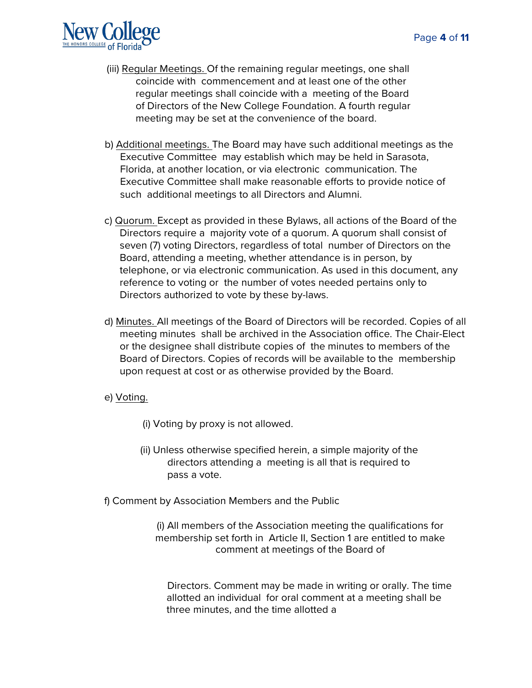

- (iii) Regular Meetings. Of the remaining regular meetings, one shall coincide with commencement and at least one of the other regular meetings shall coincide with a meeting of the Board of Directors of the New College Foundation. A fourth regular meeting may be set at the convenience of the board.
- b) Additional meetings. The Board may have such additional meetings as the Executive Committee may establish which may be held in Sarasota, Florida, at another location, or via electronic communication. The Executive Committee shall make reasonable efforts to provide notice of such additional meetings to all Directors and Alumni.
- c) Quorum. Except as provided in these Bylaws, all actions of the Board of the Directors require a majority vote of a quorum. A quorum shall consist of seven (7) voting Directors, regardless of total number of Directors on the Board, attending a meeting, whether attendance is in person, by telephone, or via electronic communication. As used in this document, any reference to voting or the number of votes needed pertains only to Directors authorized to vote by these by-laws.
- d) Minutes. All meetings of the Board of Directors will be recorded. Copies of all meeting minutes shall be archived in the Association office. The Chair-Elect or the designee shall distribute copies of the minutes to members of the Board of Directors. Copies of records will be available to the membership upon request at cost or as otherwise provided by the Board.
- e) Voting.
	- (i) Voting by proxy is not allowed.
	- (ii) Unless otherwise specified herein, a simple majority of the directors attending a meeting is all that is required to pass a vote.
- f) Comment by Association Members and the Public

(i) All members of the Association meeting the qualifications for membership set forth in Article II, Section 1 are entitled to make comment at meetings of the Board of

Directors. Comment may be made in writing or orally. The time allotted an individual for oral comment at a meeting shall be three minutes, and the time allotted a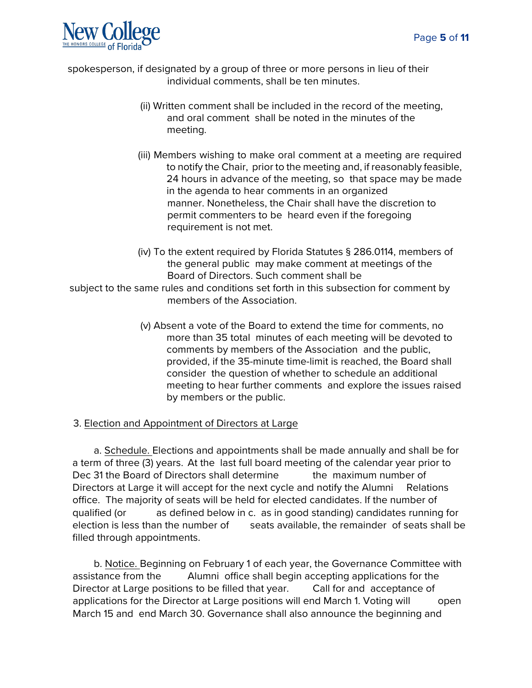

spokesperson, if designated by a group of three or more persons in lieu of their individual comments, shall be ten minutes.

- (ii) Written comment shall be included in the record of the meeting, and oral comment shall be noted in the minutes of the meeting.
- (iii) Members wishing to make oral comment at a meeting are required to notify the Chair, prior to the meeting and, if reasonably feasible, 24 hours in advance of the meeting, so that space may be made in the agenda to hear comments in an organized manner. Nonetheless, the Chair shall have the discretion to permit commenters to be heard even if the foregoing requirement is not met.
- (iv) To the extent required by Florida Statutes § 286.0114, members of the general public may make comment at meetings of the Board of Directors. Such comment shall be

subject to the same rules and conditions set forth in this subsection for comment by members of the Association.

> (v) Absent a vote of the Board to extend the time for comments, no more than 35 total minutes of each meeting will be devoted to comments by members of the Association and the public, provided, if the 35-minute time-limit is reached, the Board shall consider the question of whether to schedule an additional meeting to hear further comments and explore the issues raised by members or the public.

### 3. Election and Appointment of Directors at Large

a. Schedule. Elections and appointments shall be made annually and shall be for a term of three (3) years. At the last full board meeting of the calendar year prior to Dec 31 the Board of Directors shall determine the maximum number of Directors at Large it will accept for the next cycle and notify the Alumni Relations office. The majority of seats will be held for elected candidates. If the number of qualified (or as defined below in c. as in good standing) candidates running for election is less than the number of seats available, the remainder of seats shall be filled through appointments.

b. Notice. Beginning on February 1 of each year, the Governance Committee with assistance from the Alumni office shall begin accepting applications for the Director at Large positions to be filled that year. Call for and acceptance of applications for the Director at Large positions will end March 1. Voting will open March 15 and end March 30. Governance shall also announce the beginning and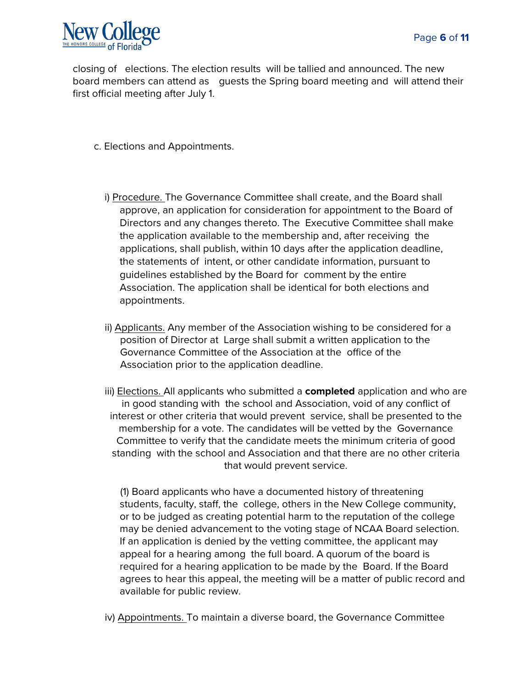

closing of elections. The election results will be tallied and announced. The new board members can attend as guests the Spring board meeting and will attend their first official meeting after July 1.

- c. Elections and Appointments.
	- i) Procedure. The Governance Committee shall create, and the Board shall approve, an application for consideration for appointment to the Board of Directors and any changes thereto. The Executive Committee shall make the application available to the membership and, after receiving the applications, shall publish, within 10 days after the application deadline, the statements of intent, or other candidate information, pursuant to guidelines established by the Board for comment by the entire Association. The application shall be identical for both elections and appointments.
	- ii) Applicants. Any member of the Association wishing to be considered for a position of Director at Large shall submit a written application to the Governance Committee of the Association at the office of the Association prior to the application deadline.
	- iii) Elections. All applicants who submitted a **completed** application and who are in good standing with the school and Association, void of any conflict of interest or other criteria that would prevent service, shall be presented to the membership for a vote. The candidates will be vetted by the Governance Committee to verify that the candidate meets the minimum criteria of good standing with the school and Association and that there are no other criteria that would prevent service.

(1) Board applicants who have a documented history of threatening students, faculty, staff, the college, others in the New College community, or to be judged as creating potential harm to the reputation of the college may be denied advancement to the voting stage of NCAA Board selection. If an application is denied by the vetting committee, the applicant may appeal for a hearing among the full board. A quorum of the board is required for a hearing application to be made by the Board. If the Board agrees to hear this appeal, the meeting will be a matter of public record and available for public review.

iv) Appointments. To maintain a diverse board, the Governance Committee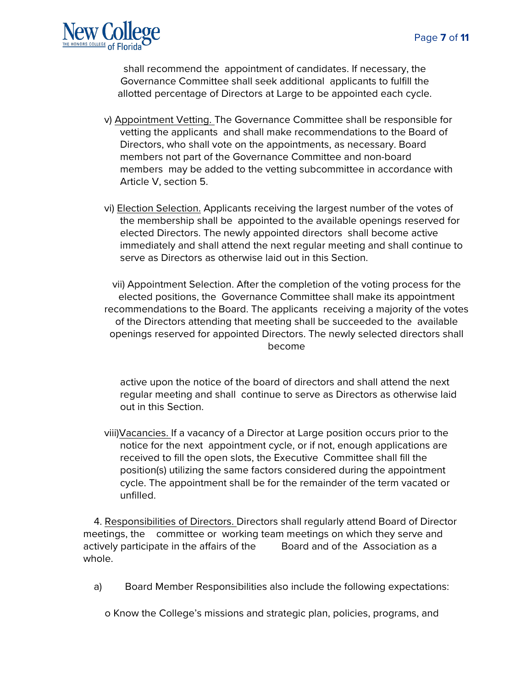

shall recommend the appointment of candidates. If necessary, the Governance Committee shall seek additional applicants to fulfill the allotted percentage of Directors at Large to be appointed each cycle.

- v) Appointment Vetting. The Governance Committee shall be responsible for vetting the applicants and shall make recommendations to the Board of Directors, who shall vote on the appointments, as necessary. Board members not part of the Governance Committee and non-board members may be added to the vetting subcommittee in accordance with Article V, section 5.
- vi) Election Selection. Applicants receiving the largest number of the votes of the membership shall be appointed to the available openings reserved for elected Directors. The newly appointed directors shall become active immediately and shall attend the next regular meeting and shall continue to serve as Directors as otherwise laid out in this Section.

vii) Appointment Selection. After the completion of the voting process for the elected positions, the Governance Committee shall make its appointment recommendations to the Board. The applicants receiving a majority of the votes of the Directors attending that meeting shall be succeeded to the available openings reserved for appointed Directors. The newly selected directors shall become

active upon the notice of the board of directors and shall attend the next regular meeting and shall continue to serve as Directors as otherwise laid out in this Section.

viii)Vacancies. If a vacancy of a Director at Large position occurs prior to the notice for the next appointment cycle, or if not, enough applications are received to fill the open slots, the Executive Committee shall fill the position(s) utilizing the same factors considered during the appointment cycle. The appointment shall be for the remainder of the term vacated or unfilled.

4. Responsibilities of Directors. Directors shall regularly attend Board of Director meetings, the committee or working team meetings on which they serve and actively participate in the affairs of the Board and of the Association as a whole.

a) Board Member Responsibilities also include the following expectations:

o Know the College's missions and strategic plan, policies, programs, and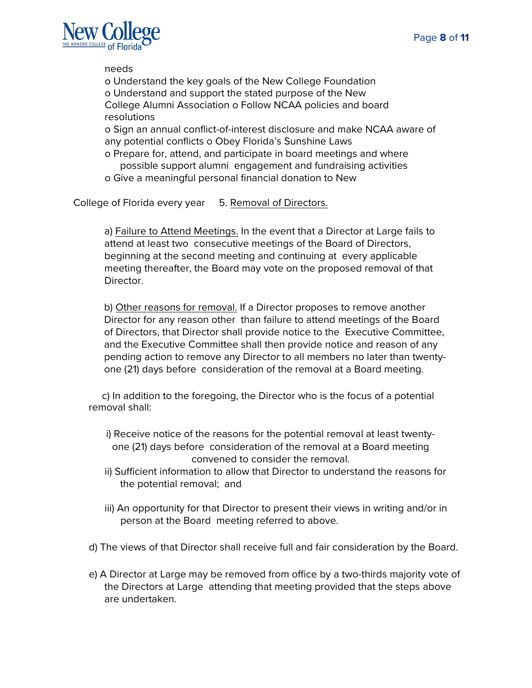

needs

o Understand the key goals of the New College Foundation o Understand and support the stated purpose of the New College Alumni Association o Follow NCAA policies and board resolutions

o Sign an annual conflict-of-interest disclosure and make NCAA aware of any potential conflicts o Obey Florida's Sunshine Laws

- o Prepare for, attend, and participate in board meetings and where possible support alumni engagement and fundraising activities
- o Give a meaningful personal financial donation to New

College of Florida every year 5. Removal of Directors.

a) Failure to Attend Meetings. In the event that a Director at Large fails to attend at least two consecutive meetings of the Board of Directors, beginning at the second meeting and continuing at every applicable meeting thereafter, the Board may vote on the proposed removal of that Director.

b) Other reasons for removal. If a Director proposes to remove another Director for any reason other than failure to attend meetings of the Board of Directors, that Director shall provide notice to the Executive Committee, and the Executive Committee shall then provide notice and reason of any pending action to remove any Director to all members no later than twentyone (21) days before consideration of the removal at a Board meeting.

 c) In addition to the foregoing, the Director who is the focus of a potential removal shall:

- i) Receive notice of the reasons for the potential removal at least twentyone (21) days before consideration of the removal at a Board meeting convened to consider the removal.
- ii) Sufficient information to allow that Director to understand the reasons for the potential removal; and
- iii) An opportunity for that Director to present their views in writing and/or in person at the Board meeting referred to above.
- d) The views of that Director shall receive full and fair consideration by the Board.
- e) A Director at Large may be removed from office by a two-thirds majority vote of the Directors at Large attending that meeting provided that the steps above are undertaken.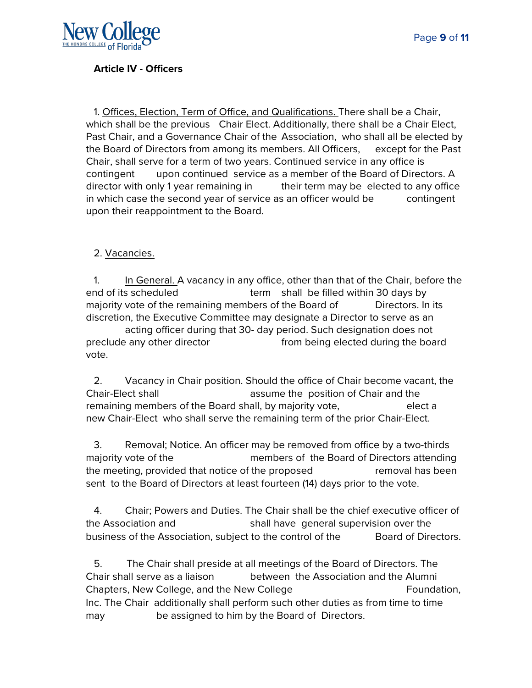

#### **Article IV - Officers**

1. Offices, Election, Term of Office, and Qualifications. There shall be a Chair, which shall be the previous Chair Elect. Additionally, there shall be a Chair Elect, Past Chair, and a Governance Chair of the Association, who shall all be elected by the Board of Directors from among its members. All Officers, except for the Past Chair, shall serve for a term of two years. Continued service in any office is contingent upon continued service as a member of the Board of Directors. A director with only 1 year remaining in their term may be elected to any office in which case the second year of service as an officer would be contingent upon their reappointment to the Board.

#### 2. Vacancies.

1. In General. A vacancy in any office, other than that of the Chair, before the end of its scheduled term shall be filled within 30 days by majority vote of the remaining members of the Board of Directors. In its discretion, the Executive Committee may designate a Director to serve as an acting officer during that 30- day period. Such designation does not

preclude any other director **from being elected during the board** vote.

2. Vacancy in Chair position. Should the office of Chair become vacant, the Chair-Elect shall assume the position of Chair and the remaining members of the Board shall, by majority vote, elect a new Chair-Elect who shall serve the remaining term of the prior Chair-Elect.

3. Removal; Notice. An officer may be removed from office by a two-thirds majority vote of the members of the Board of Directors attending the meeting, provided that notice of the proposed removal has been sent to the Board of Directors at least fourteen (14) days prior to the vote.

4. Chair; Powers and Duties. The Chair shall be the chief executive officer of the Association and shall have general supervision over the business of the Association, subject to the control of the Board of Directors.

5. The Chair shall preside at all meetings of the Board of Directors. The Chair shall serve as a liaison between the Association and the Alumni Chapters, New College, and the New College The Tomorrow Republic Foundation, Inc. The Chair additionally shall perform such other duties as from time to time may be assigned to him by the Board of Directors.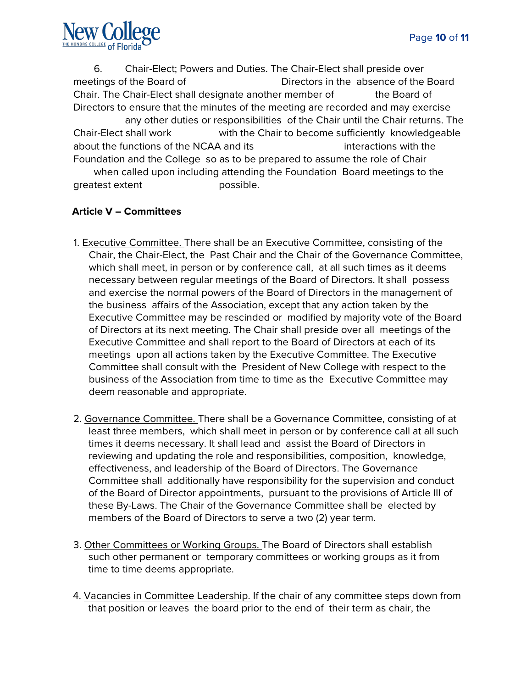6. Chair-Elect; Powers and Duties. The Chair-Elect shall preside over meetings of the Board of Directors in the absence of the Board Chair. The Chair-Elect shall designate another member of the Board of Directors to ensure that the minutes of the meeting are recorded and may exercise any other duties or responsibilities of the Chair until the Chair returns. The Chair-Elect shall work with the Chair to become sufficiently knowledgeable about the functions of the NCAA and its interactions with the Foundation and the College so as to be prepared to assume the role of Chair

when called upon including attending the Foundation Board meetings to the greatest extent possible.

# **Article V – Committees**

- 1. Executive Committee. There shall be an Executive Committee, consisting of the Chair, the Chair-Elect, the Past Chair and the Chair of the Governance Committee, which shall meet, in person or by conference call, at all such times as it deems necessary between regular meetings of the Board of Directors. It shall possess and exercise the normal powers of the Board of Directors in the management of the business affairs of the Association, except that any action taken by the Executive Committee may be rescinded or modified by majority vote of the Board of Directors at its next meeting. The Chair shall preside over all meetings of the Executive Committee and shall report to the Board of Directors at each of its meetings upon all actions taken by the Executive Committee. The Executive Committee shall consult with the President of New College with respect to the business of the Association from time to time as the Executive Committee may deem reasonable and appropriate.
- 2. Governance Committee. There shall be a Governance Committee, consisting of at least three members, which shall meet in person or by conference call at all such times it deems necessary. It shall lead and assist the Board of Directors in reviewing and updating the role and responsibilities, composition, knowledge, effectiveness, and leadership of the Board of Directors. The Governance Committee shall additionally have responsibility for the supervision and conduct of the Board of Director appointments, pursuant to the provisions of Article III of these By-Laws. The Chair of the Governance Committee shall be elected by members of the Board of Directors to serve a two (2) year term.
- 3. Other Committees or Working Groups. The Board of Directors shall establish such other permanent or temporary committees or working groups as it from time to time deems appropriate.
- 4. Vacancies in Committee Leadership. If the chair of any committee steps down from that position or leaves the board prior to the end of their term as chair, the